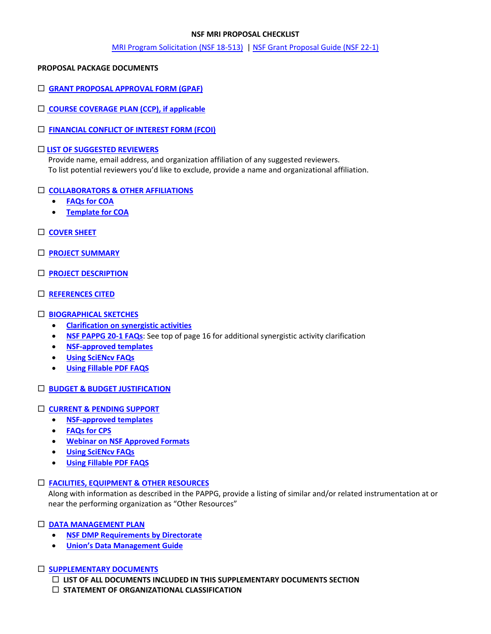### **NSF MRI PROPOSAL CHECKLIST**

### [MRI Program Solicitation](https://www.nsf.gov/pubs/2018/nsf18513/nsf18513.pdf) (NSF 18-513) | [NSF Grant Proposal Guide \(NSF 22-1\)](https://nsf.gov/pubs/policydocs/pappg20_1/index.jsp)

### **PROPOSAL PACKAGE DOCUMENTS**

- **[GRANT PROPOSAL APPROVAL FORM \(GPAF\)](https://www.union.edu/sites/default/files/grants/202109/gpaf-090121.pdf)**
- **[COURSE COVERAGE PLAN \(CCP\), if applicable](https://www.union.edu/sites/default/files/grants/202009/course-coverage-plan-9152020.pdf)**
- **[FINANCIAL CONFLICT OF INTEREST FORM \(FCOI\)](https://union-college.formstack.com/workflows/fcoi)**

### **[LIST OF SUGGESTED REVIEWERS](https://www.nsf.gov/pubs/policydocs/pappg22_1/pappg_2.jsp#IIC1b)**

Provide name, email address, and organization affiliation of any suggested reviewers. To list potential reviewers you'd like to exclude, provide a name and organizational affiliation.

### **[COLLABORATORS & OTHER AFFILIATIONS](https://www.nsf.gov/pubs/policydocs/pappg22_1/pappg_2.jsp#IIC1e)**

- **[FAQs for COA](https://www.nsf.gov/bfa/dias/policy/coa/faqs_coatemplateaug2020.pdf)**
- **[Template for COA](https://www.nsf.gov/bfa/dias/policy/coa.jsp)**
- **[COVER SHEET](https://www.nsf.gov/pubs/policydocs/pappg22_1/pappg_2.jsp#IIC2a)**
- **[PROJECT SUMMARY](https://www.nsf.gov/pubs/policydocs/pappg22_1/pappg_2.jsp#IIC2b)**
- **[PROJECT DESCRIPTION](https://www.nsf.gov/pubs/policydocs/pappg22_1/pappg_2.jsp#IIC2d)**
- **[REFERENCES CITED](https://www.nsf.gov/pubs/policydocs/pappg22_1/pappg_2.jsp#IIC2e)**

## **[BIOGRAPHICAL SKETCHES](https://www.nsf.gov/pubs/policydocs/pappg22_1/pappg_2.jsp#IIC2f)**

- **[Clarification on synergistic activities](https://www.youtube.com/watch?v=OgZHhoHTqf4&feature=youtu.be&t=3075)**
- **[NSF PAPPG 20-1 FAQs](https://www.nsf.gov/bfa/dias/policy/papp/pappg20_1/faqs20_1.pdf)**: See top of page 16 for additional synergistic activity clarification
- **[NSF-approved templates](https://www.nsf.gov/bfa/dias/policy/biosketch.jsp)**
- **[Using SciENcv FAQs](https://www.research.gov/common/attachment/Desktop/SciENcv-FAQs.pdf)**
- **[Using Fillable PDF FAQS](https://www.research.gov/common/attachment/Desktop/NSFPDF-FAQs.pdf)**
- **[BUDGET & BUDGET JUSTIFICATION](https://www.nsf.gov/pubs/policydocs/pappg22_1/pappg_2.jsp#IIC2g)**

### **[CURRENT & PENDING SUPPORT](https://www.nsf.gov/pubs/policydocs/pappg22_1/pappg_2.jsp#IIC2h)**

- **[NSF-approved templates](https://www.nsf.gov/bfa/dias/policy/cps.jsp)**
- **[FAQs for CPS](https://www.nsf.gov/bfa/dias/policy/cps_faqs/currentandpendingfaqs_june2021.pdf)**
- **[Webinar on NSF Approved Formats](https://nsfpolicyoutreach.com/resources/april-2020-nsf-approved-formats-for-proposals/)**
- **[Using SciENcv FAQs](https://www.research.gov/common/attachment/Desktop/SciENcv-FAQs.pdf)**
- **[Using Fillable PDF FAQS](https://www.research.gov/common/attachment/Desktop/NSFPDF-FAQs.pdf)**

## **[FACILITIES, EQUIPMENT & OTHER RESOURCES](https://www.nsf.gov/pubs/policydocs/pappg22_1/pappg_2.jsp#IIC2i)**

Along with information as described in the PAPPG, provide a listing of similar and/or related instrumentation at or near the performing organization as "Other Resources"

## **[DATA MANAGEMENT PLAN](https://www.nsf.gov/pubs/policydocs/pappg22_1/pappg_2.jsp#dmp)**

- **[NSF DMP Requirements by Directorate](https://www.nsf.gov/bfa/dias/policy/dmp.jsp)**
- **[Union's Data Management Guide](https://www.union.edu/sites/default/files/grants/201905/dmpguide.pdf)**

### **[SUPPLEMENTARY DOCUMENTS](https://www.nsf.gov/pubs/policydocs/pappg22_1/pappg_2.jsp#IIC2j)**

 **LIST OF ALL DOCUMENTS INCLUDED IN THIS SUPPLEMENTARY DOCUMENTS SECTION**

 **STATEMENT OF ORGANIZATIONAL CLASSIFICATION**